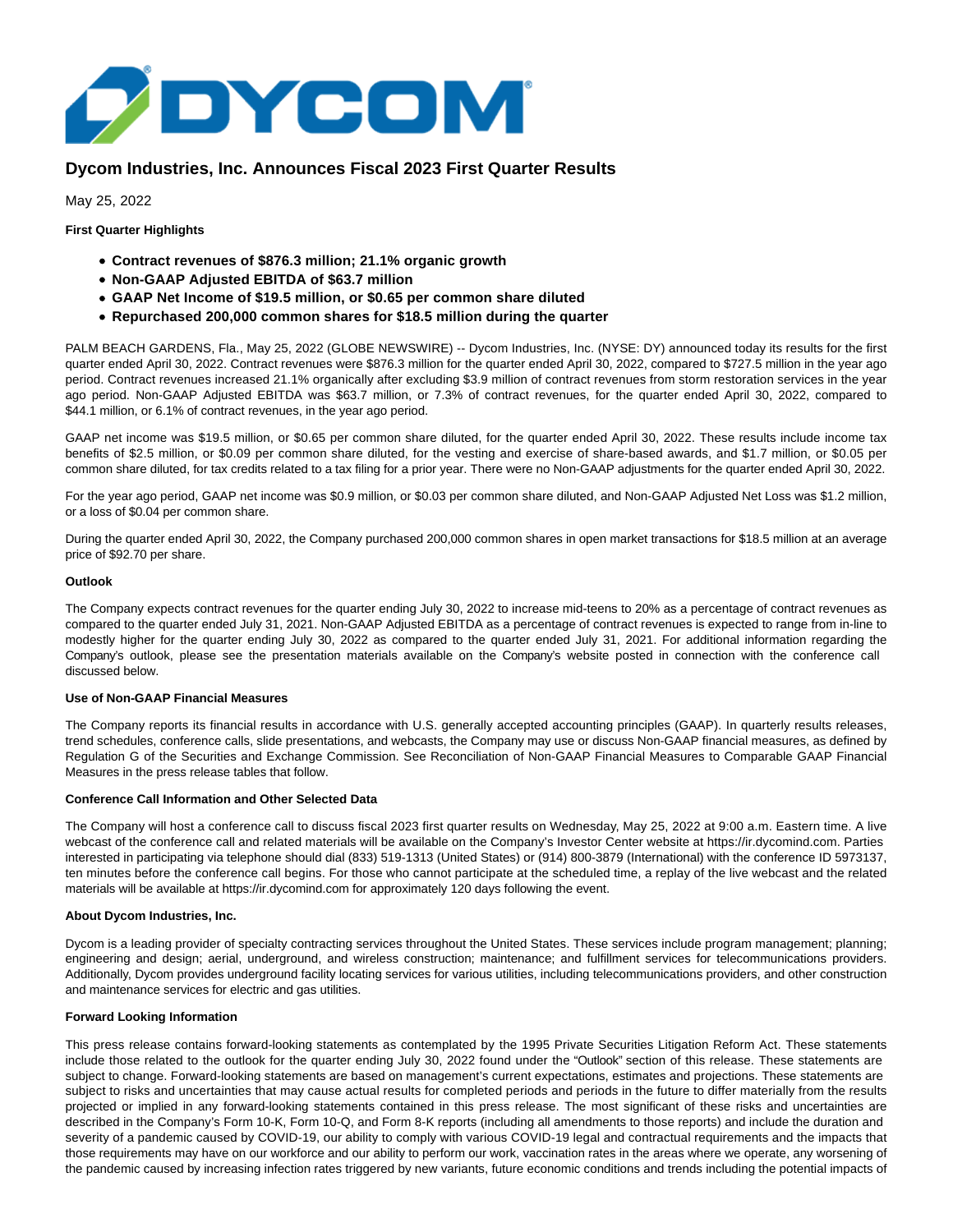

## **Dycom Industries, Inc. Announces Fiscal 2023 First Quarter Results**

May 25, 2022

**First Quarter Highlights**

- **Contract revenues of \$876.3 million; 21.1% organic growth**
- **Non-GAAP Adjusted EBITDA of \$63.7 million**
- **GAAP Net Income of \$19.5 million, or \$0.65 per common share diluted**
- **Repurchased 200,000 common shares for \$18.5 million during the quarter**

PALM BEACH GARDENS, Fla., May 25, 2022 (GLOBE NEWSWIRE) -- Dycom Industries, Inc. (NYSE: DY) announced today its results for the first quarter ended April 30, 2022. Contract revenues were \$876.3 million for the quarter ended April 30, 2022, compared to \$727.5 million in the year ago period. Contract revenues increased 21.1% organically after excluding \$3.9 million of contract revenues from storm restoration services in the year ago period. Non-GAAP Adjusted EBITDA was \$63.7 million, or 7.3% of contract revenues, for the quarter ended April 30, 2022, compared to \$44.1 million, or 6.1% of contract revenues, in the year ago period.

GAAP net income was \$19.5 million, or \$0.65 per common share diluted, for the quarter ended April 30, 2022. These results include income tax benefits of \$2.5 million, or \$0.09 per common share diluted, for the vesting and exercise of share-based awards, and \$1.7 million, or \$0.05 per common share diluted, for tax credits related to a tax filing for a prior year. There were no Non-GAAP adjustments for the quarter ended April 30, 2022.

For the year ago period, GAAP net income was \$0.9 million, or \$0.03 per common share diluted, and Non-GAAP Adjusted Net Loss was \$1.2 million, or a loss of \$0.04 per common share.

During the quarter ended April 30, 2022, the Company purchased 200,000 common shares in open market transactions for \$18.5 million at an average price of \$92.70 per share.

#### **Outlook**

The Company expects contract revenues for the quarter ending July 30, 2022 to increase mid-teens to 20% as a percentage of contract revenues as compared to the quarter ended July 31, 2021. Non-GAAP Adjusted EBITDA as a percentage of contract revenues is expected to range from in-line to modestly higher for the quarter ending July 30, 2022 as compared to the quarter ended July 31, 2021. For additional information regarding the Company's outlook, please see the presentation materials available on the Company's website posted in connection with the conference call discussed below.

## **Use of Non-GAAP Financial Measures**

The Company reports its financial results in accordance with U.S. generally accepted accounting principles (GAAP). In quarterly results releases, trend schedules, conference calls, slide presentations, and webcasts, the Company may use or discuss Non-GAAP financial measures, as defined by Regulation G of the Securities and Exchange Commission. See Reconciliation of Non-GAAP Financial Measures to Comparable GAAP Financial Measures in the press release tables that follow.

#### **Conference Call Information and Other Selected Data**

The Company will host a conference call to discuss fiscal 2023 first quarter results on Wednesday, May 25, 2022 at 9:00 a.m. Eastern time. A live webcast of the conference call and related materials will be available on the Company's Investor Center website at https://ir.dycomind.com. Parties interested in participating via telephone should dial (833) 519-1313 (United States) or (914) 800-3879 (International) with the conference ID 5973137, ten minutes before the conference call begins. For those who cannot participate at the scheduled time, a replay of the live webcast and the related materials will be available at https://ir.dycomind.com for approximately 120 days following the event.

## **About Dycom Industries, Inc.**

Dycom is a leading provider of specialty contracting services throughout the United States. These services include program management; planning; engineering and design; aerial, underground, and wireless construction; maintenance; and fulfillment services for telecommunications providers. Additionally, Dycom provides underground facility locating services for various utilities, including telecommunications providers, and other construction and maintenance services for electric and gas utilities.

## **Forward Looking Information**

This press release contains forward-looking statements as contemplated by the 1995 Private Securities Litigation Reform Act. These statements include those related to the outlook for the quarter ending July 30, 2022 found under the "Outlook" section of this release. These statements are subject to change. Forward-looking statements are based on management's current expectations, estimates and projections. These statements are subject to risks and uncertainties that may cause actual results for completed periods and periods in the future to differ materially from the results projected or implied in any forward-looking statements contained in this press release. The most significant of these risks and uncertainties are described in the Company's Form 10-K, Form 10-Q, and Form 8-K reports (including all amendments to those reports) and include the duration and severity of a pandemic caused by COVID-19, our ability to comply with various COVID-19 legal and contractual requirements and the impacts that those requirements may have on our workforce and our ability to perform our work, vaccination rates in the areas where we operate, any worsening of the pandemic caused by increasing infection rates triggered by new variants, future economic conditions and trends including the potential impacts of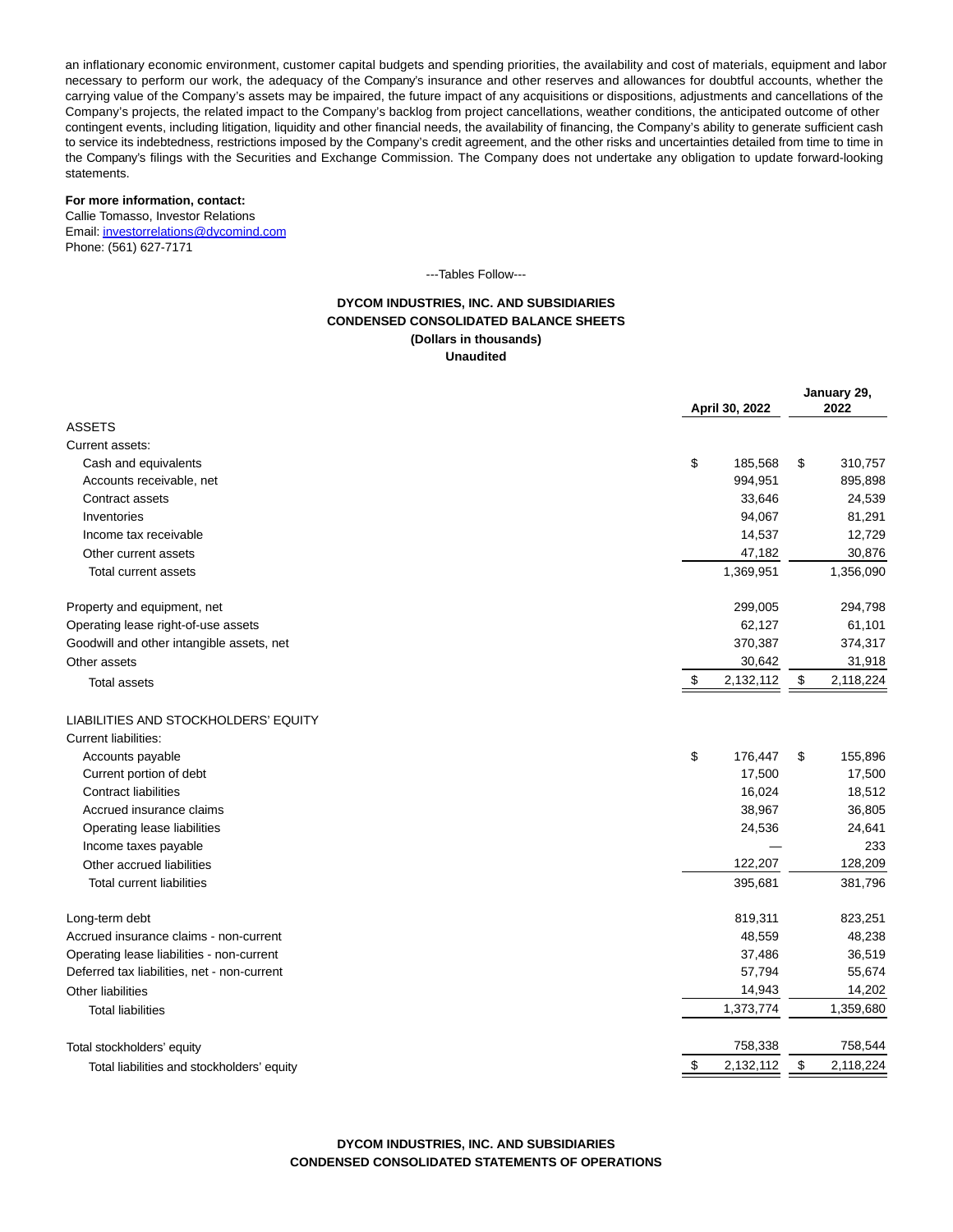an inflationary economic environment, customer capital budgets and spending priorities, the availability and cost of materials, equipment and labor necessary to perform our work, the adequacy of the Company's insurance and other reserves and allowances for doubtful accounts, whether the carrying value of the Company's assets may be impaired, the future impact of any acquisitions or dispositions, adjustments and cancellations of the Company's projects, the related impact to the Company's backlog from project cancellations, weather conditions, the anticipated outcome of other contingent events, including litigation, liquidity and other financial needs, the availability of financing, the Company's ability to generate sufficient cash to service its indebtedness, restrictions imposed by the Company's credit agreement, and the other risks and uncertainties detailed from time to time in the Company's filings with the Securities and Exchange Commission. The Company does not undertake any obligation to update forward-looking statements.

## **For more information, contact:**

Callie Tomasso, Investor Relations Email[: investorrelations@dycomind.com](https://www.globenewswire.com/Tracker?data=82qqO4Aabw4rDKb0ppDed3k9WELvsPCpTqt8nzni78y_YbF56hgPbeSosMkHU6BbGDQTt8AEELWhkBYbp5jjoFxiKjizr3cbQ4661qn41Ol8gBy9LNmzrGHLaOqhlB2H) Phone: (561) 627-7171

---Tables Follow---

## **DYCOM INDUSTRIES, INC. AND SUBSIDIARIES CONDENSED CONSOLIDATED BALANCE SHEETS (Dollars in thousands) Unaudited**

|                                                  | April 30, 2022 |    | January 29,<br>2022 |  |
|--------------------------------------------------|----------------|----|---------------------|--|
| <b>ASSETS</b>                                    |                |    |                     |  |
| Current assets:                                  |                |    |                     |  |
| \$<br>Cash and equivalents                       | 185,568        | \$ | 310,757             |  |
| Accounts receivable, net                         | 994,951        |    | 895,898             |  |
| Contract assets                                  | 33,646         |    | 24,539              |  |
| Inventories                                      | 94,067         |    | 81,291              |  |
| Income tax receivable                            | 14,537         |    | 12,729              |  |
| Other current assets                             | 47,182         |    | 30,876              |  |
| Total current assets                             | 1,369,951      |    | 1,356,090           |  |
| Property and equipment, net                      | 299,005        |    | 294,798             |  |
| Operating lease right-of-use assets              | 62,127         |    | 61,101              |  |
| Goodwill and other intangible assets, net        | 370,387        |    | 374,317             |  |
| Other assets                                     | 30,642         |    | 31,918              |  |
| \$<br><b>Total assets</b>                        | 2,132,112      | \$ | 2,118,224           |  |
| LIABILITIES AND STOCKHOLDERS' EQUITY             |                |    |                     |  |
| <b>Current liabilities:</b>                      |                |    |                     |  |
| \$<br>Accounts payable                           | 176,447        | \$ | 155,896             |  |
| Current portion of debt                          | 17,500         |    | 17,500              |  |
| <b>Contract liabilities</b>                      | 16,024         |    | 18,512              |  |
| Accrued insurance claims                         | 38,967         |    | 36,805              |  |
| Operating lease liabilities                      | 24,536         |    | 24,641              |  |
| Income taxes payable                             |                |    | 233                 |  |
| Other accrued liabilities                        | 122,207        |    | 128,209             |  |
| <b>Total current liabilities</b>                 | 395,681        |    | 381,796             |  |
| Long-term debt                                   | 819,311        |    | 823,251             |  |
| Accrued insurance claims - non-current           | 48,559         |    | 48,238              |  |
| Operating lease liabilities - non-current        | 37,486         |    | 36,519              |  |
| Deferred tax liabilities, net - non-current      | 57,794         |    | 55,674              |  |
| Other liabilities                                | 14,943         |    | 14,202              |  |
| <b>Total liabilities</b>                         | 1,373,774      |    | 1,359,680           |  |
| Total stockholders' equity                       | 758,338        |    | 758,544             |  |
| \$<br>Total liabilities and stockholders' equity | 2,132,112      | \$ | 2,118,224           |  |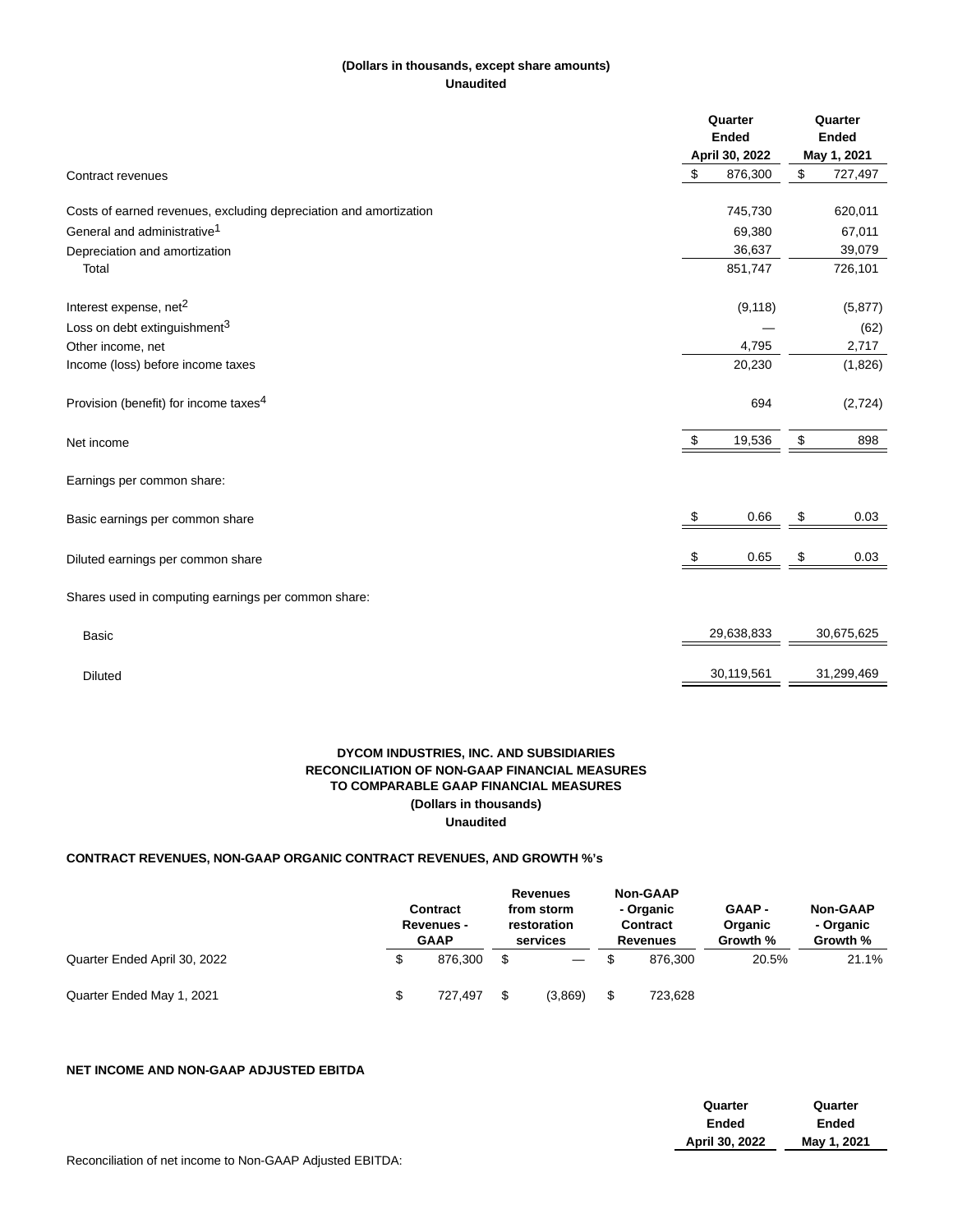## **(Dollars in thousands, except share amounts) Unaudited**

|                                                                   | Quarter<br><b>Ended</b><br>April 30, 2022 |            | Quarter<br><b>Ended</b><br>May 1, 2021 |            |
|-------------------------------------------------------------------|-------------------------------------------|------------|----------------------------------------|------------|
| Contract revenues                                                 | \$                                        | 876,300    | \$                                     | 727,497    |
| Costs of earned revenues, excluding depreciation and amortization |                                           | 745,730    |                                        | 620,011    |
| General and administrative <sup>1</sup>                           |                                           | 69,380     |                                        | 67,011     |
| Depreciation and amortization                                     |                                           | 36,637     |                                        | 39,079     |
| Total                                                             |                                           | 851,747    |                                        | 726,101    |
| Interest expense, net <sup>2</sup>                                |                                           | (9, 118)   |                                        | (5, 877)   |
| Loss on debt extinguishment <sup>3</sup>                          |                                           |            |                                        | (62)       |
| Other income, net                                                 |                                           | 4,795      |                                        | 2,717      |
| Income (loss) before income taxes                                 |                                           | 20,230     |                                        | (1,826)    |
| Provision (benefit) for income taxes <sup>4</sup>                 |                                           | 694        |                                        | (2,724)    |
| Net income                                                        | \$                                        | 19,536     | \$                                     | 898        |
| Earnings per common share:                                        |                                           |            |                                        |            |
| Basic earnings per common share                                   | \$                                        | 0.66       | \$                                     | 0.03       |
| Diluted earnings per common share                                 | - \$                                      | 0.65       | \$                                     | 0.03       |
| Shares used in computing earnings per common share:               |                                           |            |                                        |            |
| <b>Basic</b>                                                      |                                           | 29,638,833 |                                        | 30,675,625 |
| <b>Diluted</b>                                                    |                                           | 30,119,561 |                                        | 31,299,469 |

## **DYCOM INDUSTRIES, INC. AND SUBSIDIARIES RECONCILIATION OF NON-GAAP FINANCIAL MEASURES TO COMPARABLE GAAP FINANCIAL MEASURES (Dollars in thousands) Unaudited**

## **CONTRACT REVENUES, NON-GAAP ORGANIC CONTRACT REVENUES, AND GROWTH %'s**

|                              |    | <b>Contract</b><br><b>Revenues -</b><br><b>GAAP</b> |    | <b>Revenues</b><br>from storm<br>restoration<br>services |    | <b>Non-GAAP</b><br>- Organic<br><b>Contract</b><br>Revenues | <b>GAAP-</b><br>Organic<br>Growth % | <b>Non-GAAP</b><br>- Organic<br>Growth % |  |
|------------------------------|----|-----------------------------------------------------|----|----------------------------------------------------------|----|-------------------------------------------------------------|-------------------------------------|------------------------------------------|--|
| Quarter Ended April 30, 2022 | \$ | 876.300                                             |    | $\overbrace{\phantom{13333}}$                            |    | 876.300                                                     | 20.5%                               | 21.1%                                    |  |
| Quarter Ended May 1, 2021    | \$ | 727.497                                             | \$ | (3,869)                                                  | \$ | 723,628                                                     |                                     |                                          |  |

## **NET INCOME AND NON-GAAP ADJUSTED EBITDA**

| Quarter        | Quarter     |  |
|----------------|-------------|--|
| Ended          | Ended       |  |
| April 30, 2022 | May 1, 2021 |  |
|                |             |  |

Reconciliation of net income to Non-GAAP Adjusted EBITDA: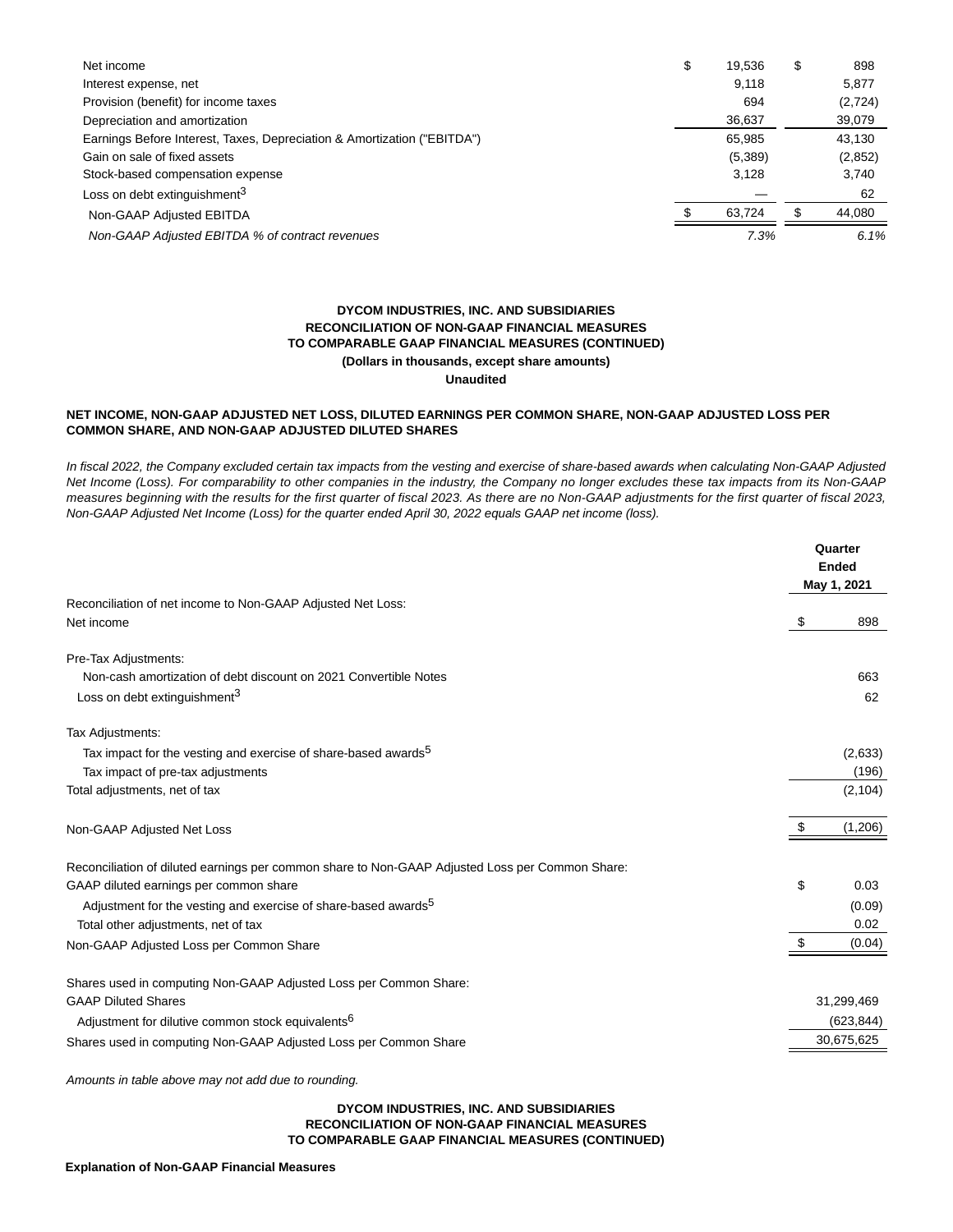| Net income                                                              | \$    | 19.536  | \$   | 898      |
|-------------------------------------------------------------------------|-------|---------|------|----------|
| Interest expense, net                                                   |       | 9.118   |      | 5,877    |
| Provision (benefit) for income taxes                                    |       | 694     |      | (2, 724) |
| Depreciation and amortization                                           |       | 36,637  |      | 39,079   |
| Earnings Before Interest, Taxes, Depreciation & Amortization ("EBITDA") |       | 65,985  |      | 43,130   |
| Gain on sale of fixed assets                                            |       | (5,389) |      | (2,852)  |
| Stock-based compensation expense                                        | 3,128 |         |      | 3.740    |
| Loss on debt extinguishment <sup>3</sup>                                |       |         |      | 62       |
| Non-GAAP Adjusted EBITDA                                                |       | 63.724  |      | 44,080   |
| Non-GAAP Adjusted EBITDA % of contract revenues                         | 7.3%  |         | 6.1% |          |

## **DYCOM INDUSTRIES, INC. AND SUBSIDIARIES RECONCILIATION OF NON-GAAP FINANCIAL MEASURES TO COMPARABLE GAAP FINANCIAL MEASURES (CONTINUED) (Dollars in thousands, except share amounts) Unaudited**

# **NET INCOME, NON-GAAP ADJUSTED NET LOSS, DILUTED EARNINGS PER COMMON SHARE, NON-GAAP ADJUSTED LOSS PER**

## **COMMON SHARE, AND NON-GAAP ADJUSTED DILUTED SHARES**

In fiscal 2022, the Company excluded certain tax impacts from the vesting and exercise of share-based awards when calculating Non-GAAP Adjusted Net Income (Loss). For comparability to other companies in the industry, the Company no longer excludes these tax impacts from its Non-GAAP measures beginning with the results for the first quarter of fiscal 2023. As there are no Non-GAAP adjustments for the first quarter of fiscal 2023, Non-GAAP Adjusted Net Income (Loss) for the quarter ended April 30, 2022 equals GAAP net income (loss).

|                                                                                                 |    | Quarter<br><b>Ended</b><br>May 1, 2021 |  |  |
|-------------------------------------------------------------------------------------------------|----|----------------------------------------|--|--|
| Reconciliation of net income to Non-GAAP Adjusted Net Loss:                                     |    |                                        |  |  |
| Net income                                                                                      | \$ | 898                                    |  |  |
| Pre-Tax Adjustments:                                                                            |    |                                        |  |  |
| Non-cash amortization of debt discount on 2021 Convertible Notes                                |    | 663                                    |  |  |
| Loss on debt extinguishment <sup>3</sup>                                                        |    | 62                                     |  |  |
| Tax Adjustments:                                                                                |    |                                        |  |  |
| Tax impact for the vesting and exercise of share-based awards <sup>5</sup>                      |    | (2,633)                                |  |  |
| Tax impact of pre-tax adjustments                                                               |    | (196)                                  |  |  |
| Total adjustments, net of tax                                                                   |    | (2, 104)                               |  |  |
| Non-GAAP Adjusted Net Loss                                                                      | \$ | (1,206)                                |  |  |
| Reconciliation of diluted earnings per common share to Non-GAAP Adjusted Loss per Common Share: |    |                                        |  |  |
| GAAP diluted earnings per common share                                                          | \$ | 0.03                                   |  |  |
| Adjustment for the vesting and exercise of share-based awards <sup>5</sup>                      |    | (0.09)                                 |  |  |
| Total other adjustments, net of tax                                                             |    | 0.02                                   |  |  |
| Non-GAAP Adjusted Loss per Common Share                                                         | \$ | (0.04)                                 |  |  |
| Shares used in computing Non-GAAP Adjusted Loss per Common Share:                               |    |                                        |  |  |
| <b>GAAP Diluted Shares</b>                                                                      |    | 31,299,469                             |  |  |
| Adjustment for dilutive common stock equivalents <sup>6</sup>                                   |    | (623, 844)                             |  |  |
| Shares used in computing Non-GAAP Adjusted Loss per Common Share                                |    | 30,675,625                             |  |  |
|                                                                                                 |    |                                        |  |  |

Amounts in table above may not add due to rounding.

## **DYCOM INDUSTRIES, INC. AND SUBSIDIARIES RECONCILIATION OF NON-GAAP FINANCIAL MEASURES TO COMPARABLE GAAP FINANCIAL MEASURES (CONTINUED)**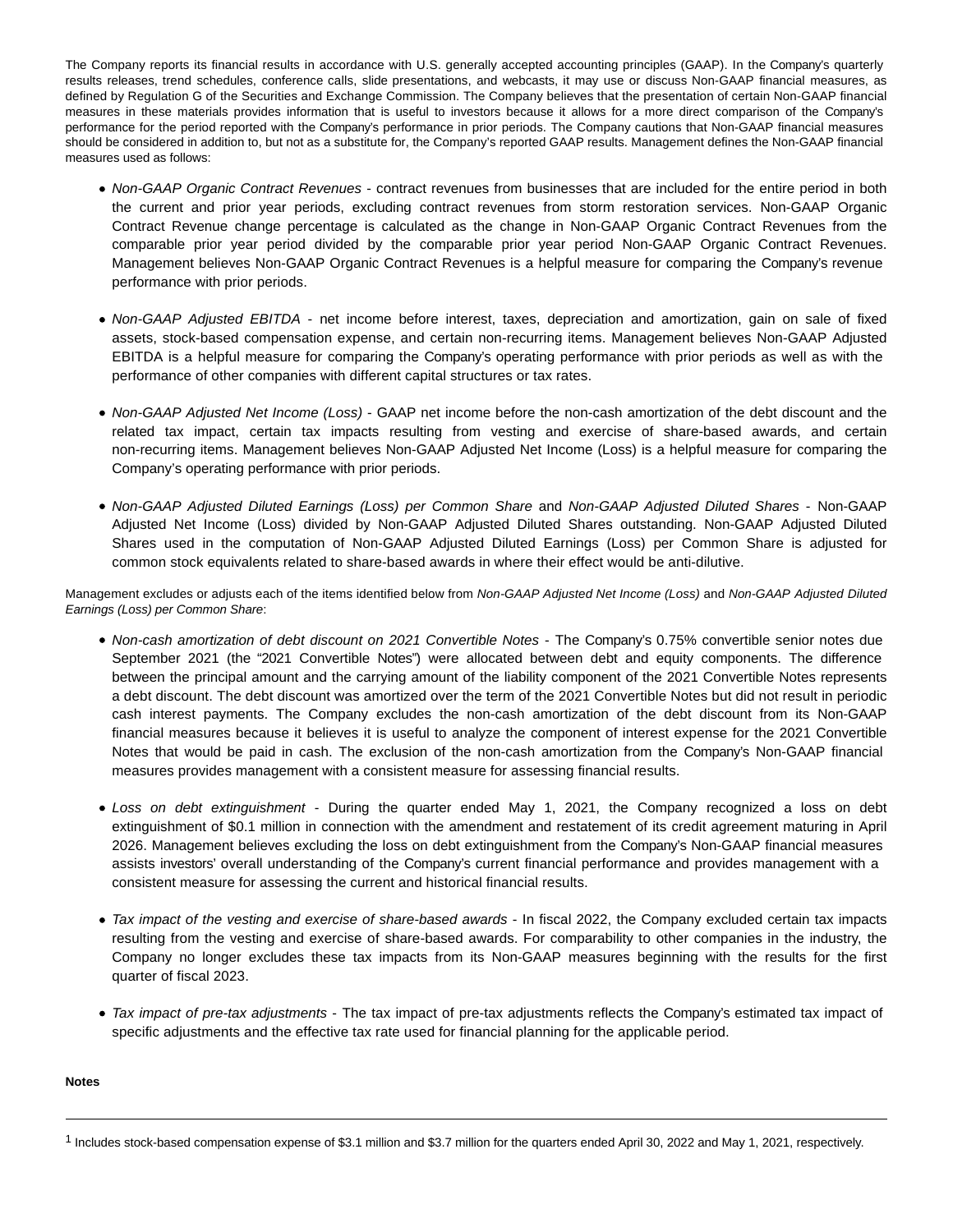The Company reports its financial results in accordance with U.S. generally accepted accounting principles (GAAP). In the Company's quarterly results releases, trend schedules, conference calls, slide presentations, and webcasts, it may use or discuss Non-GAAP financial measures, as defined by Regulation G of the Securities and Exchange Commission. The Company believes that the presentation of certain Non-GAAP financial measures in these materials provides information that is useful to investors because it allows for a more direct comparison of the Company's performance for the period reported with the Company's performance in prior periods. The Company cautions that Non-GAAP financial measures should be considered in addition to, but not as a substitute for, the Company's reported GAAP results. Management defines the Non-GAAP financial measures used as follows:

- Non-GAAP Organic Contract Revenues contract revenues from businesses that are included for the entire period in both the current and prior year periods, excluding contract revenues from storm restoration services. Non-GAAP Organic Contract Revenue change percentage is calculated as the change in Non-GAAP Organic Contract Revenues from the comparable prior year period divided by the comparable prior year period Non-GAAP Organic Contract Revenues. Management believes Non-GAAP Organic Contract Revenues is a helpful measure for comparing the Company's revenue performance with prior periods.
- Non-GAAP Adjusted EBITDA net income before interest, taxes, depreciation and amortization, gain on sale of fixed assets, stock-based compensation expense, and certain non-recurring items. Management believes Non-GAAP Adjusted EBITDA is a helpful measure for comparing the Company's operating performance with prior periods as well as with the performance of other companies with different capital structures or tax rates.
- Non-GAAP Adjusted Net Income (Loss) GAAP net income before the non-cash amortization of the debt discount and the related tax impact, certain tax impacts resulting from vesting and exercise of share-based awards, and certain non-recurring items. Management believes Non-GAAP Adjusted Net Income (Loss) is a helpful measure for comparing the Company's operating performance with prior periods.
- Non-GAAP Adjusted Diluted Earnings (Loss) per Common Share and Non-GAAP Adjusted Diluted Shares Non-GAAP Adjusted Net Income (Loss) divided by Non-GAAP Adjusted Diluted Shares outstanding. Non-GAAP Adjusted Diluted Shares used in the computation of Non-GAAP Adjusted Diluted Earnings (Loss) per Common Share is adjusted for common stock equivalents related to share-based awards in where their effect would be anti-dilutive.

Management excludes or adjusts each of the items identified below from Non-GAAP Adjusted Net Income (Loss) and Non-GAAP Adjusted Diluted Earnings (Loss) per Common Share:

- Non-cash amortization of debt discount on 2021 Convertible Notes The Company's 0.75% convertible senior notes due September 2021 (the "2021 Convertible Notes") were allocated between debt and equity components. The difference between the principal amount and the carrying amount of the liability component of the 2021 Convertible Notes represents a debt discount. The debt discount was amortized over the term of the 2021 Convertible Notes but did not result in periodic cash interest payments. The Company excludes the non-cash amortization of the debt discount from its Non-GAAP financial measures because it believes it is useful to analyze the component of interest expense for the 2021 Convertible Notes that would be paid in cash. The exclusion of the non-cash amortization from the Company's Non-GAAP financial measures provides management with a consistent measure for assessing financial results.
- Loss on debt extinguishment During the quarter ended May 1, 2021, the Company recognized a loss on debt extinguishment of \$0.1 million in connection with the amendment and restatement of its credit agreement maturing in April 2026. Management believes excluding the loss on debt extinguishment from the Company's Non-GAAP financial measures assists investors' overall understanding of the Company's current financial performance and provides management with a consistent measure for assessing the current and historical financial results.
- Tax impact of the vesting and exercise of share-based awards In fiscal 2022, the Company excluded certain tax impacts resulting from the vesting and exercise of share-based awards. For comparability to other companies in the industry, the Company no longer excludes these tax impacts from its Non-GAAP measures beginning with the results for the first quarter of fiscal 2023.
- Tax impact of pre-tax adjustments The tax impact of pre-tax adjustments reflects the Company's estimated tax impact of specific adjustments and the effective tax rate used for financial planning for the applicable period.

## **Notes**

<sup>1</sup> Includes stock-based compensation expense of \$3.1 million and \$3.7 million for the quarters ended April 30, 2022 and May 1, 2021, respectively.